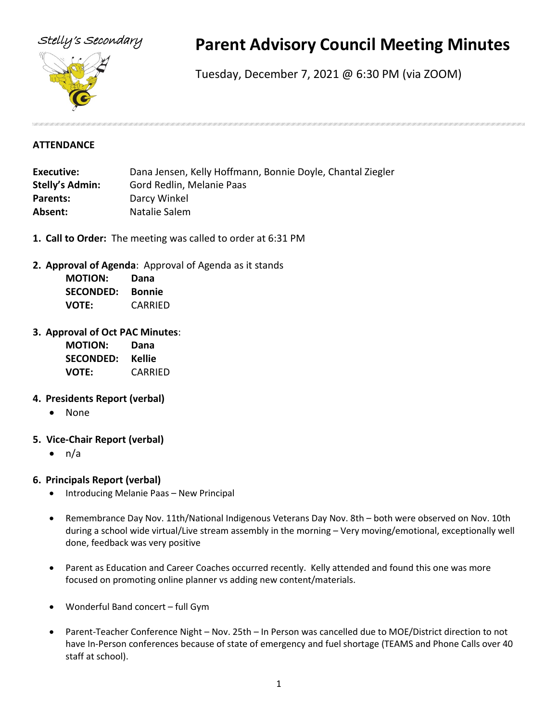

# Stelly's Secondary **Parent Advisory Council Meeting Minutes**

Tuesday, December 7, 2021 @ 6:30 PM (via ZOOM)

#### **ATTENDANCE**

| Executive:             | Dana Jensen, Kelly Hoffmann, Bonnie Doyle, Chantal Ziegler |
|------------------------|------------------------------------------------------------|
| <b>Stelly's Admin:</b> | Gord Redlin, Melanie Paas                                  |
| <b>Parents:</b>        | Darcy Winkel                                               |
| Absent:                | Natalie Salem                                              |

- **1. Call to Order:** The meeting was called to order at 6:31 PM
- **2. Approval of Agenda**: Approval of Agenda as it stands

| <b>MOTION:</b>   | Dana          |
|------------------|---------------|
| <b>SECONDED:</b> | <b>Bonnie</b> |
| <b>VOTE:</b>     | CARRIED       |

## **3. Approval of Oct PAC Minutes**:

| <b>MOTION:</b>   | Dana    |
|------------------|---------|
| <b>SECONDED:</b> | Kellie  |
| <b>VOTE:</b>     | CARRIED |

## **4. Presidents Report (verbal)**

- None
- **5. Vice-Chair Report (verbal)**
	- $\bullet$  n/a

# **6. Principals Report (verbal)**

- Introducing Melanie Paas New Principal
- Remembrance Day Nov. 11th/National Indigenous Veterans Day Nov. 8th both were observed on Nov. 10th during a school wide virtual/Live stream assembly in the morning – Very moving/emotional, exceptionally well done, feedback was very positive
- Parent as Education and Career Coaches occurred recently. Kelly attended and found this one was more focused on promoting online planner vs adding new content/materials.
- Wonderful Band concert full Gym
- Parent-Teacher Conference Night Nov. 25th In Person was cancelled due to MOE/District direction to not have In-Person conferences because of state of emergency and fuel shortage (TEAMS and Phone Calls over 40 staff at school).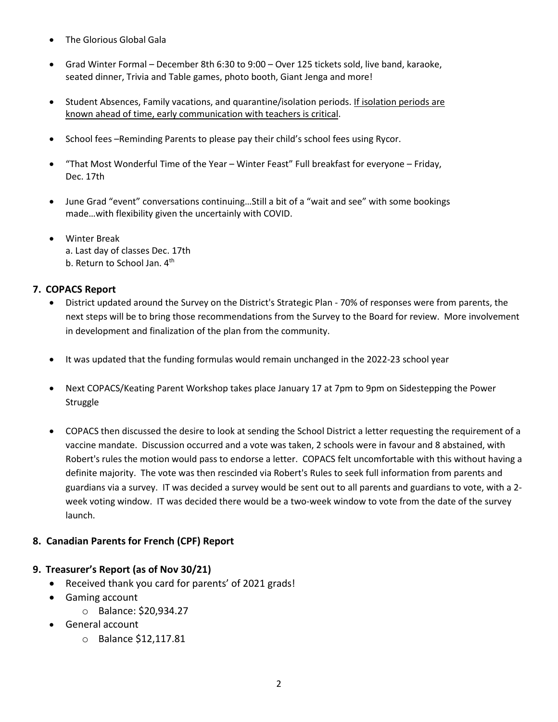- The Glorious Global Gala
- Grad Winter Formal December 8th 6:30 to 9:00 Over 125 tickets sold, live band, karaoke, seated dinner, Trivia and Table games, photo booth, Giant Jenga and more!
- Student Absences, Family vacations, and quarantine/isolation periods. If isolation periods are known ahead of time, early communication with teachers is critical.
- School fees –Reminding Parents to please pay their child's school fees using Rycor.
- "That Most Wonderful Time of the Year Winter Feast" Full breakfast for everyone Friday, Dec. 17th
- June Grad "event" conversations continuing…Still a bit of a "wait and see" with some bookings made…with flexibility given the uncertainly with COVID.
- Winter Break a. Last day of classes Dec. 17th b. Return to School Jan. 4<sup>th</sup>

# **7. COPACS Report**

- District updated around the Survey on the District's Strategic Plan 70% of responses were from parents, the next steps will be to bring those recommendations from the Survey to the Board for review. More involvement in development and finalization of the plan from the community.
- It was updated that the funding formulas would remain unchanged in the 2022-23 school year
- Next COPACS/Keating Parent Workshop takes place January 17 at 7pm to 9pm on Sidestepping the Power **Struggle**
- COPACS then discussed the desire to look at sending the School District a letter requesting the requirement of a vaccine mandate. Discussion occurred and a vote was taken, 2 schools were in favour and 8 abstained, with Robert's rules the motion would pass to endorse a letter. COPACS felt uncomfortable with this without having a definite majority. The vote was then rescinded via Robert's Rules to seek full information from parents and guardians via a survey. IT was decided a survey would be sent out to all parents and guardians to vote, with a 2 week voting window. IT was decided there would be a two-week window to vote from the date of the survey launch.

# **8. Canadian Parents for French (CPF) Report**

# **9. Treasurer's Report (as of Nov 30/21)**

- Received thank you card for parents' of 2021 grads!
- Gaming account
	- o Balance: \$20,934.27
- General account
	- o Balance \$12,117.81